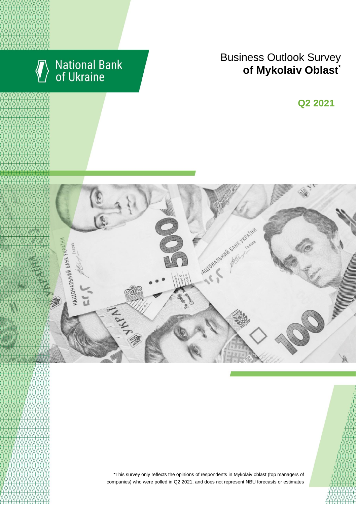

# National Bank<br>of Ukraine

# Business Outlook Survey  $\bullet$  **of Mykolaiv Oblast**

**Q2 2018 Q2 2021**





\*This survey only reflects the opinions of respondents in Mykolaiv oblast (top managers of companies) who were polled in Q2 2021, and does not represent NBU forecasts or estimates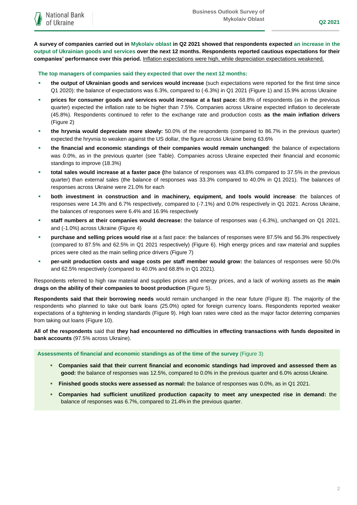**A survey of companies carried out in Mykolaiv oblast in Q2 2021 showed that respondents expected an increase in the output of Ukrainian goods and services over the next 12 months. Respondents reported cautious expectations for their companies' performance over this period.** Inflation expectations were high, while depreciation expectations weakened.

**The top managers of companies said they expected that over the next 12 months:**

- **the output of Ukrainian goods and services would increase** (such expectations were reported for the first time since Q1 2020): the balance of expectations was 6.3%, compared to (-6.3%) in Q1 2021 (Figure 1) and 15.9% across Ukraine
- **prices for consumer goods and services would increase at a fast pace:** 68.8% of respondents (as in the previous quarter) expected the inflation rate to be higher than 7.5%. Companies across Ukraine expected inflation to decelerate (45.8%). Respondents continued to refer to the exchange rate and production costs **as the main inflation drivers** (Figure 2)
- **the hryvnia would depreciate more slowly:** 50.0% of the respondents (compared to 86.7% in the previous quarter) expected the hryvnia to weaken against the US dollar, the figure across Ukraine being 63.6%
- **the financial and economic standings of their companies would remain unchanged**: the balance of expectations was 0.0%, as in the previous quarter (see Table). Companies across Ukraine expected their financial and economic standings to improve (18.3%)
- **total sales would increase at a faster pace (**the balance of responses was 43.8% compared to 37.5% in the previous quarter) than external sales (the balance of responses was 33.3% compared to 40.0% in Q1 2021). The balances of responses across Ukraine were 21.0% for each
- **both investment in construction and in machinery, equipment, and tools would increase**: the balances of responses were 14.3% and 6.7% respectively, compared to (-7.1%) and 0.0% respectively in Q1 2021. Across Ukraine, the balances of responses were 6.4% and 16.9% respectively
- **staff numbers at their companies would decrease:** the balance of responses was (-6.3%), unchanged on Q1 2021, and (-1.0%) across Ukraine (Figure 4)
- **purchase and selling prices would rise** at a fast pace: the balances of responses were 87.5% and 56.3% respectively (compared to 87.5% and 62.5% in Q1 2021 respectively) (Figure 6). High energy prices and raw material and supplies prices were cited as the main selling price drivers (Figure 7)
- **per-unit production costs and wage costs per staff member would grow:** the balances of responses were 50.0% and 62.5% respectively (compared to 40.0% and 68.8% in Q1 2021).

Respondents referred to high raw material and supplies prices and energy prices, and a lack of working assets as the **main drags on the ability of their companies to boost production** (Figure 5).

**Respondents said that their borrowing needs** would remain unchanged in the near future (Figure 8). The majority of the respondents who planned to take out bank loans (25.0%) opted for foreign currency loans. Respondents reported weaker expectations of a tightening in lending standards (Figure 9). High loan rates were cited as the major factor deterring companies from taking out loans (Figure 10).

**All of the respondents** said that **they had encountered no difficulties in effecting transactions with funds deposited in bank accounts** (97.5% across Ukraine).

**Assessments of financial and economic standings as of the time of the survey** (Figure 3)

- **Companies said that their current financial and economic standings had improved and assessed them as good:** the balance of responses was 12.5%, compared to 0.0% in the previous quarter and 6.0% across Ukraine.
- **Finished goods stocks were assessed as normal:** the balance of responses was 0.0%, as in Q1 2021.
- **Companies had sufficient unutilized production capacity to meet any unexpected rise in demand:** the balance of responses was 6.7%, compared to 21.4% in the previous quarter.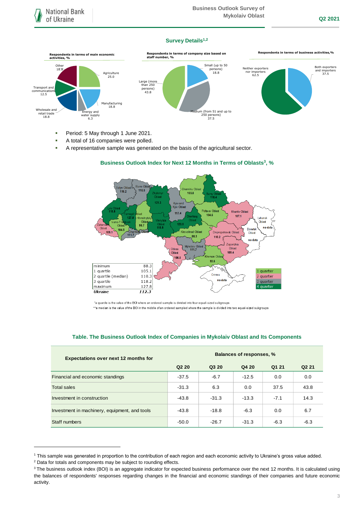### **Survey Details1,2**



- Period: 5 May through 1 June 2021.
- A total of 16 companies were polled.
- A representative sample was generated on the basis of the agricultural sector.

### n Ob  $110.5$  $116.2$  $-103.8$ 75  $121.7$ Kyiv and<br>Kyiv Oblast Kharkiy Ohlas 117.4 104.6  $107.1$ Luhansk Oblast .<br>123. 98.7 Oblas<br>118.5 no Do 104 Kirovohrad Ohl Oblast  $109.1$ Dnipropetrovsk Oblast  $-$  111.7 88.3 110.2 no dat Zaporizhia Mykolaiv Obla<br>2 111.7 .<br>Oblast Oblast  $109.4$ 106.5 93.6 minimum 88.3 hsi 1 quartile 105.1 quarter Crimea 2 quartile (median) 110.3 quarter no data 3 quartile 118.2 3 quarter maximum 127.8 4 quarte **Ukraine** 112.3

# **Business Outlook Index for Next 12 Months in Terms of Oblasts<sup>3</sup> , %**

\*a quartile is the value of the BOI where an ordered sample is divided into four equal-sized subgroups \*\*a median is the value of the BOI in the middle of an ordered sampled where the sample is divided into two equal-sized subgroups

# **Q2 20 Q3 20 Q4 20 Q1 21 Q2 21** Financial and economic standings  $-37.5$   $-6.7$   $-12.5$  0.0 0.0 Total sales -31.3 -31.3 -31.3 - 6.3 0.0 37.5 43.8 - 43.8 - 37.5 37.5 43.8 Investment in construction -43.8 -31.3 -13.3 -7.1 14.3 Investment in machinery, equipment, and tools  $-43.8$   $-18.8$   $-6.3$  0.0 6.7 Staff numbers -50.0 -26.7 -31.3 -6.3 -6.3 **Balances of responses, % Expectations over next 12 months for**

# **Table. The Business Outlook Index of Companies in Mykolaiv Oblast and Its Components**

1

<sup>1</sup> This sample was generated in proportion to the contribution of each region and each economic activity to Ukraine's gross value added.

<sup>2</sup> Data for totals and components may be subject to rounding effects.

<sup>&</sup>lt;sup>3</sup> The business outlook index (BOI) is an aggregate indicator for expected business performance over the next 12 months. It is calculated using the balances of respondents' responses regarding changes in the financial and economic standings of their companies and future economic activity.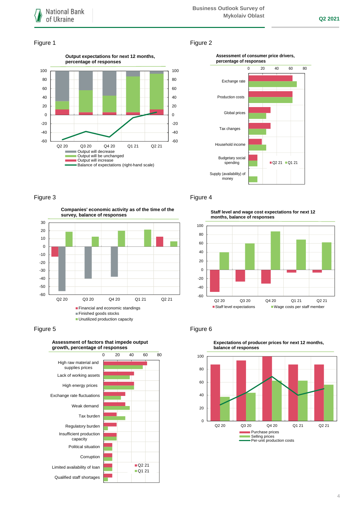### Figure 1 Figure 2





**Companies' economic activity as of the time of the survey, balance of responses**





# Figure 3 **Figure 4**

**Staff level and wage cost expectations for next 12 months, balance of responses**



# Figure 5 **Figure 6**

 $\mathbf 0$ 20 40 60 80 100 Q2 20 Q3 20 Q4 20 Q1 21 Q2 21 **balance of responses** Purchase prices Selling prices

Per-unit production costs

**Expectations of producer prices for next 12 months,**